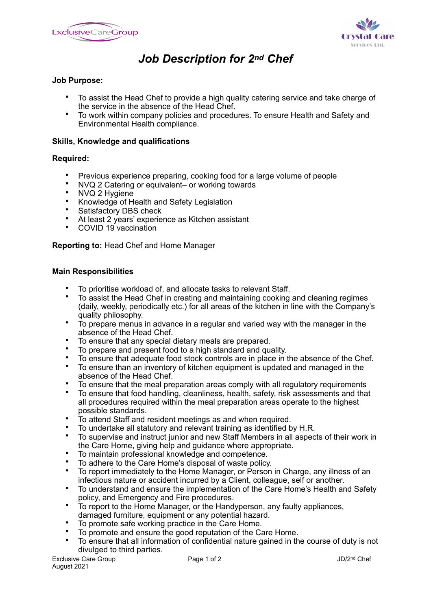



# *Job Description for 2nd Chef*

## **Job Purpose:**

- To assist the Head Chef to provide a high quality catering service and take charge of the service in the absence of the Head Chef.
- To work within company policies and procedures. To ensure Health and Safety and Environmental Health compliance.

### **Skills, Knowledge and qualifications**

#### **Required:**

- Previous experience preparing, cooking food for a large volume of people
- NVQ 2 Catering or equivalent– or working towards
- NVQ 2 Hygiene<br>• Knowledge of H
- Knowledge of Health and Safety Legislation
- Satisfactory DBS check
- At least 2 years' experience as Kitchen assistant
- COVID 19 vaccination

## **Reporting to:** Head Chef and Home Manager

#### **Main Responsibilities**

- To prioritise workload of, and allocate tasks to relevant Staff.<br>• To assist the Head Chef in creating and maintaining cooking.
- To assist the Head Chef in creating and maintaining cooking and cleaning regimes (daily, weekly, periodically etc.) for all areas of the kitchen in line with the Company's quality philosophy.
- To prepare menus in advance in a regular and varied way with the manager in the absence of the Head Chef.
- To ensure that any special dietary meals are prepared.
- To prepare and present food to a high standard and quality.
- To ensure that adequate food stock controls are in place in the absence of the Chef.<br>• To ensure than an inventory of kitchen equipment is undated and managed in the
- To ensure than an inventory of kitchen equipment is updated and managed in the absence of the Head Chef.
- To ensure that the meal preparation areas comply with all regulatory requirements
- To ensure that food handling, cleanliness, health, safety, risk assessments and that all procedures required within the meal preparation areas operate to the highest possible standards.
- To attend Staff and resident meetings as and when required.
- To undertake all statutory and relevant training as identified by H.R.
- To supervise and instruct junior and new Staff Members in all aspects of their work in the Care Home, giving help and guidance where appropriate.
- To maintain professional knowledge and competence.
- To adhere to the Care Home's disposal of waste policy.
- To report immediately to the Home Manager, or Person in Charge, any illness of an infectious nature or accident incurred by a Client, colleague, self or another.
- To understand and ensure the implementation of the Care Home's Health and Safety policy, and Emergency and Fire procedures.
- To report to the Home Manager, or the Handyperson, any faulty appliances, damaged furniture, equipment or any potential hazard.
- To promote safe working practice in the Care Home.
- To promote and ensure the good reputation of the Care Home.
- To ensure that all information of confidential nature gained in the course of duty is not divulged to third parties.